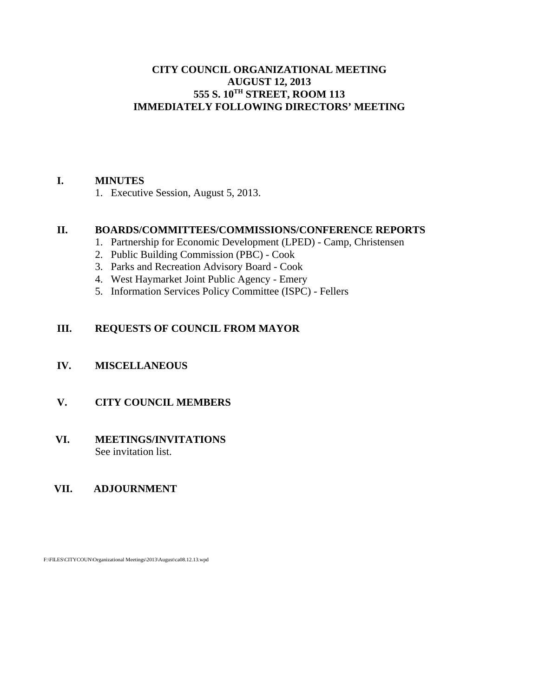#### **CITY COUNCIL ORGANIZATIONAL MEETING AUGUST 12, 2013 555 S. 10TH STREET, ROOM 113 IMMEDIATELY FOLLOWING DIRECTORS' MEETING**

## **I. MINUTES**

1. Executive Session, August 5, 2013.

## **II. BOARDS/COMMITTEES/COMMISSIONS/CONFERENCE REPORTS**

- 1. Partnership for Economic Development (LPED) Camp, Christensen
- 2. Public Building Commission (PBC) Cook
- 3. Parks and Recreation Advisory Board Cook
- 4. West Haymarket Joint Public Agency Emery
- 5. Information Services Policy Committee (ISPC) Fellers

# **III. REQUESTS OF COUNCIL FROM MAYOR**

## **IV. MISCELLANEOUS**

## **V. CITY COUNCIL MEMBERS**

## **VI. MEETINGS/INVITATIONS** See invitation list.

## **VII. ADJOURNMENT**

F:\FILES\CITYCOUN\Organizational Meetings\2013\August\ca08.12.13.wpd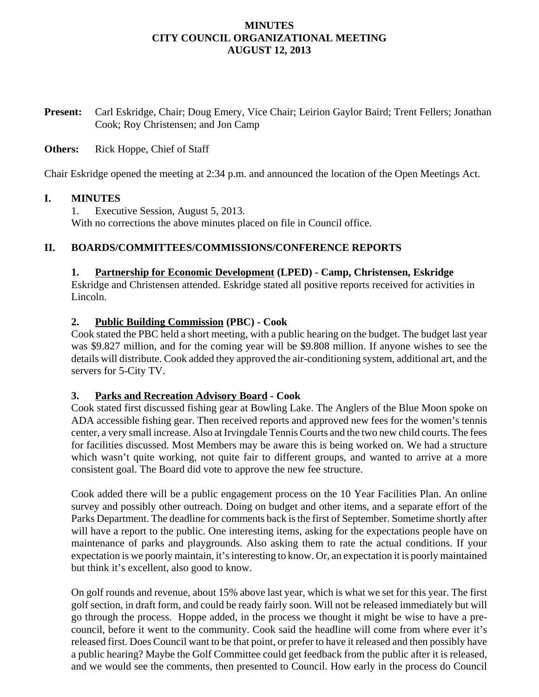# **MINUTES CITY COUNCIL ORGANIZATIONAL MEETING AUGUST 12, 2013**

**Present:** Carl Eskridge, Chair; Doug Emery, Vice Chair; Leirion Gaylor Baird; Trent Fellers; Jonathan Cook; Roy Christensen; and Jon Camp

## **Others:** Rick Hoppe, Chief of Staff

Chair Eskridge opened the meeting at 2:34 p.m. and announced the location of the Open Meetings Act.

#### **I. MINUTES**

1. Executive Session, August 5, 2013. With no corrections the above minutes placed on file in Council office.

## **II. BOARDS/COMMITTEES/COMMISSIONS/CONFERENCE REPORTS**

#### **1. Partnership for Economic Development (LPED) - Camp, Christensen, Eskridge**

Eskridge and Christensen attended. Eskridge stated all positive reports received for activities in Lincoln.

#### **2. Public Building Commission (PBC) - Cook**

Cook stated the PBC held a short meeting, with a public hearing on the budget. The budget last year was \$9.827 million, and for the coming year will be \$9.808 million. If anyone wishes to see the details will distribute. Cook added they approved the air-conditioning system, additional art, and the servers for 5-City TV.

#### **3. Parks and Recreation Advisory Board - Cook**

Cook stated first discussed fishing gear at Bowling Lake. The Anglers of the Blue Moon spoke on ADA accessible fishing gear. Then received reports and approved new fees for the women's tennis center, a very small increase. Also at Irvingdale Tennis Courts and the two new child courts. The fees for facilities discussed. Most Members may be aware this is being worked on. We had a structure which wasn't quite working, not quite fair to different groups, and wanted to arrive at a more consistent goal. The Board did vote to approve the new fee structure.

Cook added there will be a public engagement process on the 10 Year Facilities Plan. An online survey and possibly other outreach. Doing on budget and other items, and a separate effort of the Parks Department. The deadline for comments back is the first of September. Sometime shortly after will have a report to the public. One interesting items, asking for the expectations people have on maintenance of parks and playgrounds. Also asking them to rate the actual conditions. If your expectation is we poorly maintain, it's interesting to know. Or, an expectation it is poorly maintained but think it's excellent, also good to know.

On golf rounds and revenue, about 15% above last year, which is what we set for this year. The first golf section, in draft form, and could be ready fairly soon. Will not be released immediately but will go through the process. Hoppe added, in the process we thought it might be wise to have a precouncil, before it went to the community. Cook said the headline will come from where ever it's released first. Does Council want to be that point, or prefer to have it released and then possibly have a public hearing? Maybe the Golf Committee could get feedback from the public after it is released, and we would see the comments, then presented to Council. How early in the process do Council